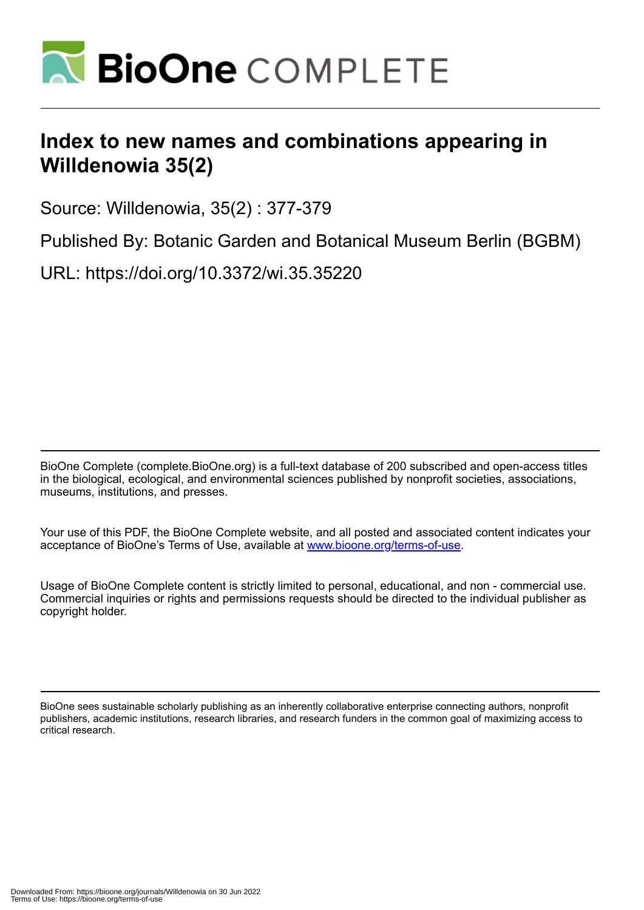

## **Index to new names and combinations appearing in Willdenowia 35(2)**

Source: Willdenowia, 35(2) : 377-379

Published By: Botanic Garden and Botanical Museum Berlin (BGBM)

URL: https://doi.org/10.3372/wi.35.35220

BioOne Complete (complete.BioOne.org) is a full-text database of 200 subscribed and open-access titles in the biological, ecological, and environmental sciences published by nonprofit societies, associations, museums, institutions, and presses.

Your use of this PDF, the BioOne Complete website, and all posted and associated content indicates your acceptance of BioOne's Terms of Use, available at www.bioone.org/terms-of-use.

Usage of BioOne Complete content is strictly limited to personal, educational, and non - commercial use. Commercial inquiries or rights and permissions requests should be directed to the individual publisher as copyright holder.

BioOne sees sustainable scholarly publishing as an inherently collaborative enterprise connecting authors, nonprofit publishers, academic institutions, research libraries, and research funders in the common goal of maximizing access to critical research.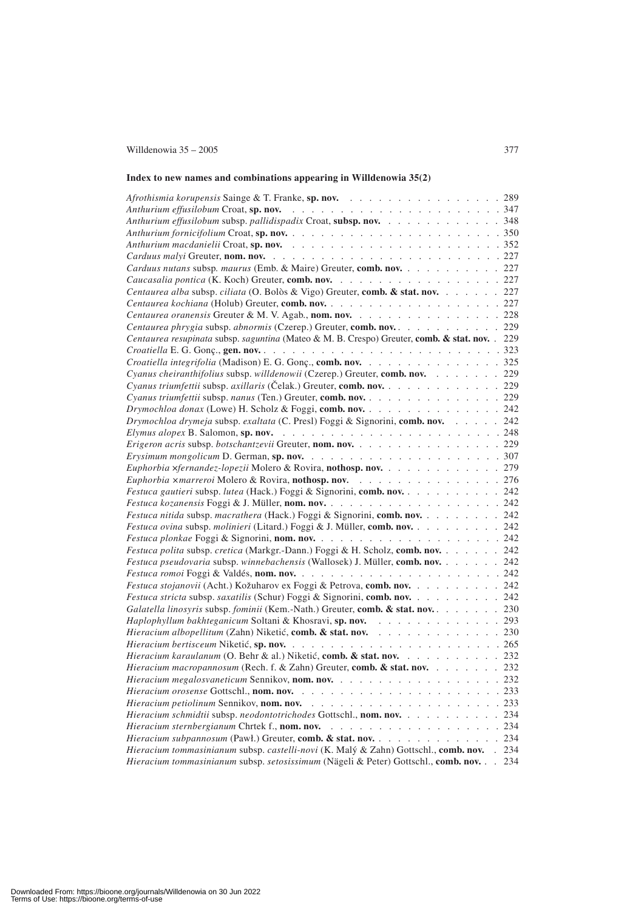## Willdenowia 35 – 2005 377

## **Index to new names and combinations appearing in Willdenowia 35(2)**

| Afrothismia korupensis Sainge & T. Franke, sp. nov. 289                                        |     |
|------------------------------------------------------------------------------------------------|-----|
|                                                                                                |     |
| Anthurium effusilobum subsp. pallidispadix Croat, subsp. nov. 348                              |     |
|                                                                                                |     |
|                                                                                                |     |
|                                                                                                |     |
| Carduus nutans subsp. maurus (Emb. & Maire) Greuter, comb. nov. 227                            |     |
|                                                                                                |     |
| Centaurea alba subsp. ciliata (O. Bolòs & Vigo) Greuter, comb. & stat. nov. 227                |     |
|                                                                                                |     |
| Centaurea oranensis Greuter & M. V. Agab., nom. nov. 228                                       |     |
| Centaurea phrygia subsp. abnormis (Czerep.) Greuter, comb. nov. 229                            |     |
| Centaurea resupinata subsp. saguntina (Mateo & M. B. Crespo) Greuter, comb. & stat. nov. . 229 |     |
|                                                                                                |     |
| Croatiella integrifolia (Madison) E. G. Gonç., comb. nov. 325                                  |     |
| Cyanus cheiranthifolius subsp. willdenowii (Czerep.) Greuter, comb. nov. 229                   |     |
| Cyanus triumfettii subsp. axillaris (Čelak.) Greuter, comb. nov. 229                           |     |
| Cyanus triumfettii subsp. nanus (Ten.) Greuter, comb. nov. 229                                 |     |
| Drymochloa donax (Lowe) H. Scholz & Foggi, comb. nov. 242                                      |     |
| Drymochloa drymeja subsp. exaltata (C. Presl) Foggi & Signorini, comb. nov. 242                |     |
|                                                                                                |     |
| Erigeron acris subsp. botschantzevii Greuter, nom. nov. 229                                    |     |
|                                                                                                |     |
| Euphorbia xfernandez-lopezii Molero & Rovira, nothosp. nov. 279                                |     |
| Euphorbia ×marreroi Molero & Rovira, nothosp. nov. 276                                         |     |
| Festuca gautieri subsp. lutea (Hack.) Foggi & Signorini, comb. nov. 242                        |     |
|                                                                                                |     |
| Festuca nitida subsp. macrathera (Hack.) Foggi & Signorini, comb. nov. 242                     |     |
| Festuca ovina subsp. molinieri (Litard.) Foggi & J. Müller, comb. nov. 242                     |     |
|                                                                                                |     |
| Festuca polita subsp. cretica (Markgr.-Dann.) Foggi & H. Scholz, comb. nov. 242                |     |
| Festuca pseudovaria subsp. winnebachensis (Wallosek) J. Müller, comb. nov. 242                 |     |
|                                                                                                |     |
| Festuca stojanovii (Acht.) Kožuharov ex Foggi & Petrova, comb. nov. 242                        |     |
| Festuca stricta subsp. saxatilis (Schur) Foggi & Signorini, comb. nov. 242                     |     |
| Galatella linosyris subsp. fominii (Kem.-Nath.) Greuter, comb. & stat. nov. 230                |     |
| Haplophyllum bakhteganicum Soltani & Khosravi, sp. nov. 293                                    |     |
| Hieracium albopellitum (Zahn) Niketić, comb. & stat. nov. 230                                  |     |
|                                                                                                |     |
| Hieracium karaulanum (O. Behr & al.) Niketić, comb. & stat. nov. 232                           |     |
| Hieracium macropannosum (Rech. f. & Zahn) Greuter, comb. & stat. nov. 232                      |     |
| <i>Hieracium megalosvaneticum Sennikov</i> , nom. nov.<br>$\cdots$ $232$                       |     |
|                                                                                                |     |
|                                                                                                |     |
| Hieracium schmidtii subsp. neodontotrichodes Gottschl., nom. nov.                              | 234 |
|                                                                                                |     |
| Hieracium subpannosum (Pawl.) Greuter, comb. & stat. nov.                                      | 234 |
| Hieracium tommasinianum subsp. castelli-novi (K. Malý & Zahn) Gottschl., comb. nov. . 234      |     |
| Hieracium tommasinianum subsp. setosissimum (Nägeli & Peter) Gottschl., comb. nov.             | 234 |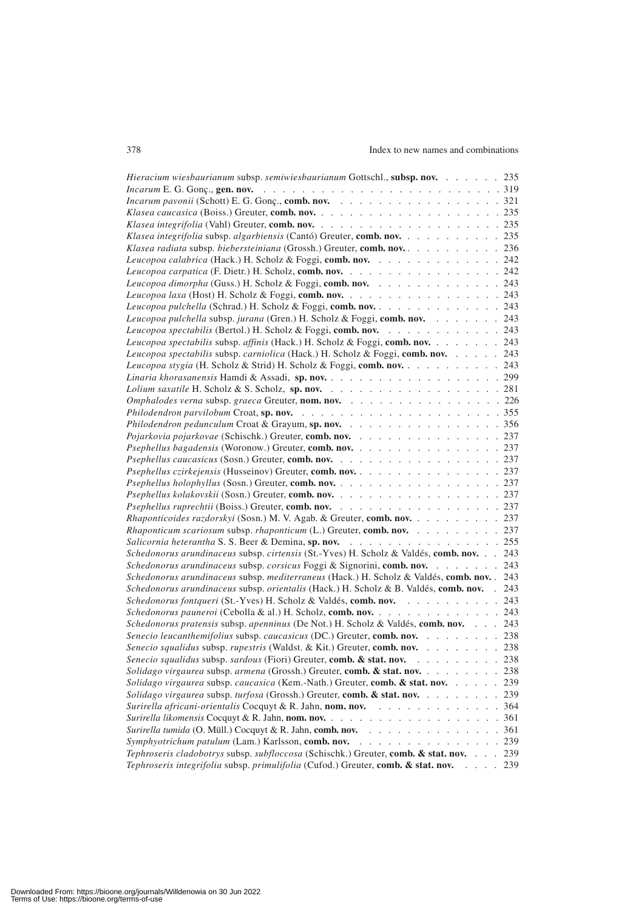## 378 Index to new names and combinations

| Hieracium wiesbaurianum subsp. semiwiesbaurianum Gottschl., subsp. nov. 235                                 |     |
|-------------------------------------------------------------------------------------------------------------|-----|
|                                                                                                             |     |
|                                                                                                             |     |
|                                                                                                             |     |
|                                                                                                             |     |
| Klasea integrifolia subsp. algarbiensis (Cantó) Greuter, comb. nov. 235                                     |     |
| Klasea radiata subsp. biebersteiniana (Grossh.) Greuter, comb. nov. 236                                     |     |
| Leucopoa calabrica (Hack.) H. Scholz & Foggi, comb. nov. 242                                                |     |
| Leucopoa carpatica (F. Dietr.) H. Scholz, comb. nov. 242                                                    |     |
| Leucopoa dimorpha (Guss.) H. Scholz & Foggi, comb. nov. 243                                                 |     |
| Leucopoa laxa (Host) H. Scholz & Foggi, comb. nov. 243                                                      |     |
| Leucopoa pulchella (Schrad.) H. Scholz & Foggi, comb. nov. 243                                              |     |
| Leucopoa pulchella subsp. jurana (Gren.) H. Scholz & Foggi, comb. nov. 243                                  |     |
| Leucopoa spectabilis (Bertol.) H. Scholz & Foggi, comb. nov. 243                                            |     |
| Leucopoa spectabilis subsp. affinis (Hack.) H. Scholz & Foggi, comb. nov. 243                               |     |
| Leucopoa spectabilis subsp. carniolica (Hack.) H. Scholz & Foggi, comb. nov. 243                            |     |
| Leucopoa stygia (H. Scholz & Strid) H. Scholz & Foggi, comb. nov. 243                                       |     |
|                                                                                                             |     |
|                                                                                                             |     |
| Omphalodes verna subsp. graeca Greuter, nom. nov. 226                                                       |     |
|                                                                                                             |     |
| Philodendron pedunculum Croat & Grayum, sp. nov. 356                                                        |     |
| Pojarkovia pojarkovae (Schischk.) Greuter, comb. nov. 237                                                   |     |
| Psephellus bagadensis (Woronow.) Greuter, comb. nov. 237                                                    |     |
|                                                                                                             |     |
| Psephellus czirkejensis (Husseinov) Greuter, comb. nov. 237                                                 |     |
|                                                                                                             |     |
|                                                                                                             |     |
| <i>Psephellus ruprechtii</i> (Boiss.) Greuter, comb. nov. 237                                               |     |
| Rhaponticoides razdorskyi (Sosn.) M. V. Agab. & Greuter, comb. nov. 237                                     |     |
| Rhaponticum scariosum subsp. rhaponticum (L.) Greuter, comb. nov. 237                                       |     |
| Salicornia heterantha S. S. Beer & Demina, sp. nov. 255                                                     |     |
| Schedonorus arundinaceus subsp. cirtensis (St.-Yves) H. Scholz & Valdés, comb. nov. 243                     |     |
| Schedonorus arundinaceus subsp. corsicus Foggi & Signorini, comb. nov. 243                                  |     |
| Schedonorus arundinaceus subsp. mediterraneus (Hack.) H. Scholz & Valdés, comb. nov. 243                    |     |
| Schedonorus arundinaceus subsp. orientalis (Hack.) H. Scholz & B. Valdés, comb. nov. . 243                  |     |
| Schedonorus fontqueri (St.-Yves) H. Scholz & Valdés, comb. nov. 243                                         |     |
| Schedonorus pauneroi (Cebolla & al.) H. Scholz, comb. nov. 243                                              |     |
| Schedonorus pratensis subsp. apenninus (De Not.) H. Scholz & Valdés, comb. nov. 243                         |     |
| Senecio leucanthemifolius subsp. caucasicus (DC.) Greuter, comb. nov. 238                                   |     |
| Senecio squalidus subsp. rupestris (Waldst. & Kit.) Greuter, comb. nov. 238                                 |     |
| Senecio squalidus subsp. sardous (Fiori) Greuter, comb. & stat. nov.<br>and the contract of the contract of | 238 |
| <i>Solidago virgaurea subsp. armena (Grossh.) Greuter, comb. &amp; stat. nov.</i>                           | 238 |
| Solidago virgaurea subsp. caucasica (Kem.-Nath.) Greuter, comb. & stat. nov.                                | 239 |
| Solidago virgaurea subsp. turfosa (Grossh.) Greuter, comb. & stat. nov.                                     | 239 |
|                                                                                                             | 364 |
|                                                                                                             |     |
| <i>Surirella tumida</i> (O. Müll.) Cocquyt & R. Jahn, <b>comb. nov.</b> 361                                 |     |
| Symphyotrichum patulum (Lam.) Karlsson, comb. nov.<br>. 239                                                 |     |
| Tephroseris cladobotrys subsp. subfloccosa (Schischk.) Greuter, comb. & stat. nov. 239                      |     |
| Tephroseris integrifolia subsp. primulifolia (Cufod.) Greuter, comb. & stat. nov.                           | 239 |